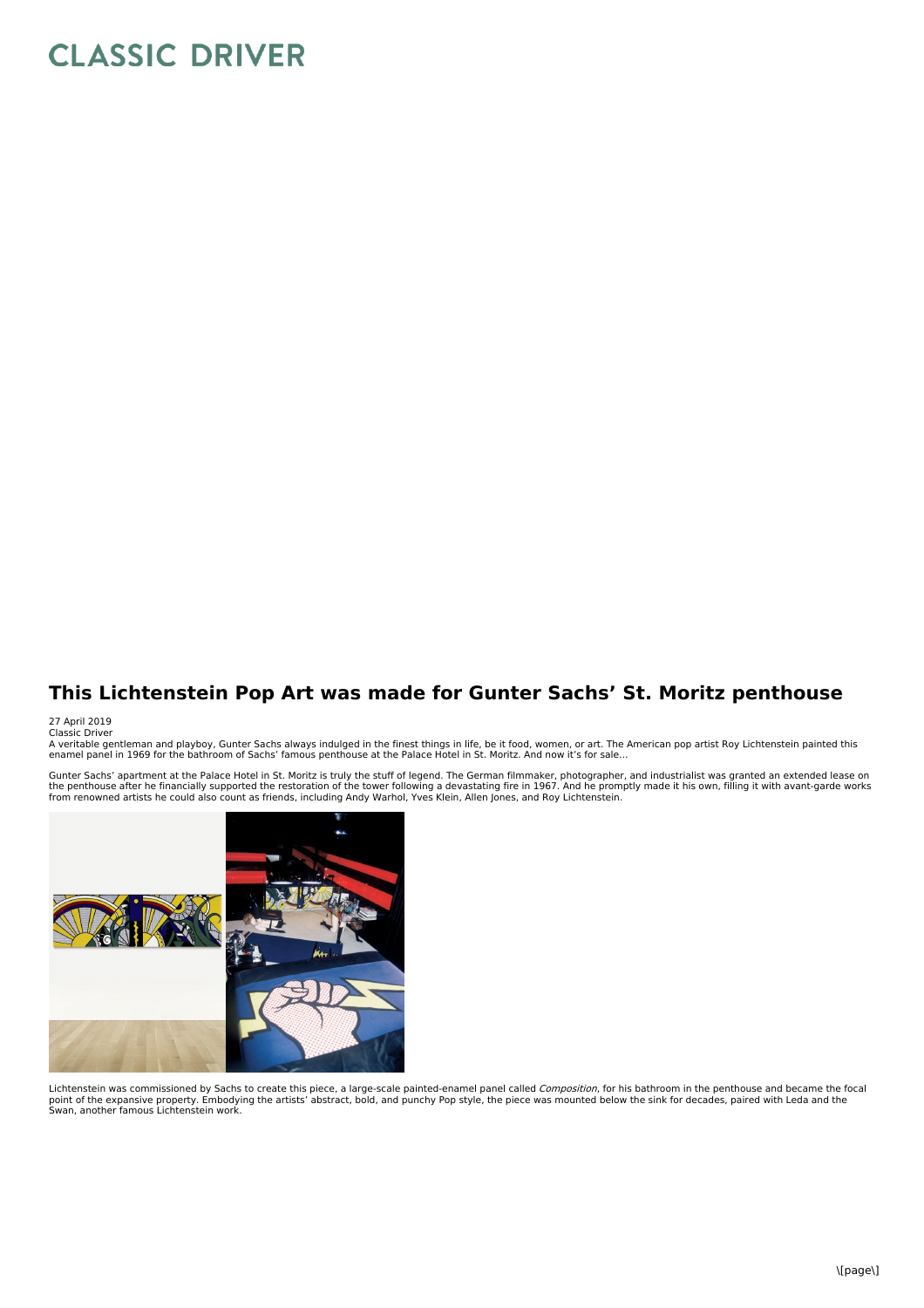## **CLASSIC DRIVER**

## **This Lichtenstein Pop Art was made for Gunter Sachs' St. Moritz penthouse**

## 27 April 2019 Classic Driver

A veritable gentleman and playboy, Gunter Sachs always indulged in the finest things in life, be it food, women, or art. The American pop artist Roy Lichtenstein painted this<br>enamel panel in 1969 for the bathroom of Sachs'

Gunter Sachs' apartment at the Palace Hotel in St. Moritz is truly the stuff of legend. The German filmmaker, photographer, and industrialist was granted an extended lease on<br>the penthouse after he financially supported th



Lichtenstein was commissioned by Sachs to create this piece, a large-scale painted-enamel panel called *Composition,* for his bathroom in the penthouse and became the focal<br>point of the expansive property. Embodying the ar